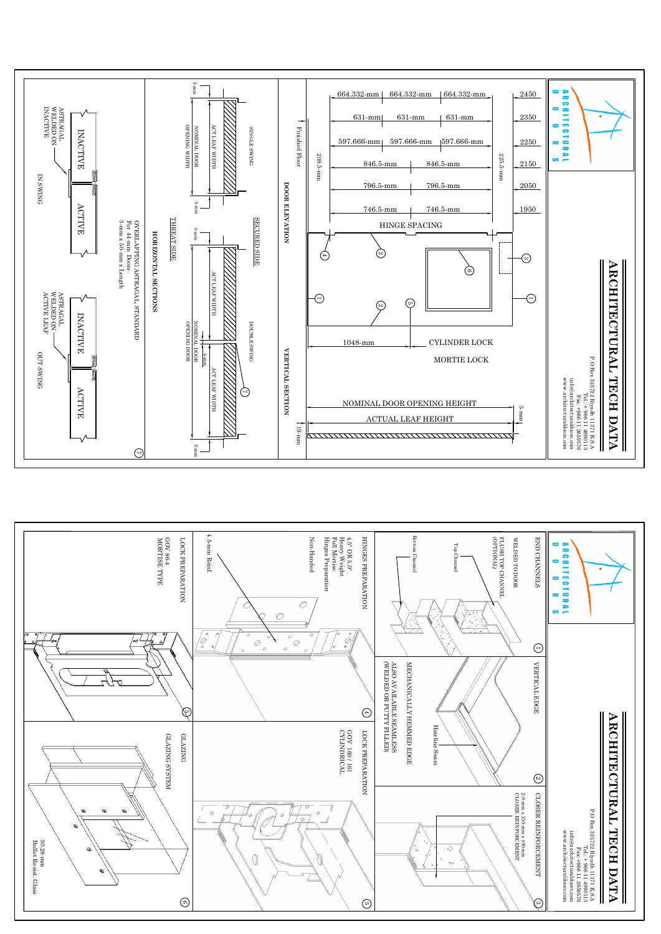